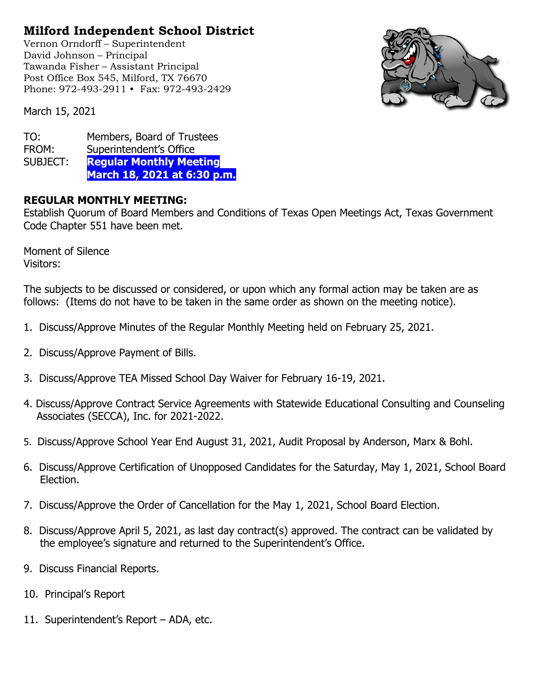## **Milford Independent School District**

Vernon Orndorff – Superintendent David Johnson – Principal Tawanda Fisher – Assistant Principal Post Office Box 545, Milford, TX 76670 Phone: 972-493-2911 • Fax: 972-493-2429



March 15, 2021

| TO:      | Members, Board of Trustees     |
|----------|--------------------------------|
| FROM:    | Superintendent's Office        |
| SUBJECT: | <b>Regular Monthly Meeting</b> |
|          | March 18, 2021 at 6:30 p.m.    |

## **REGULAR MONTHLY MEETING:**

Establish Quorum of Board Members and Conditions of Texas Open Meetings Act, Texas Government Code Chapter 551 have been met.

Moment of Silence Visitors:

The subjects to be discussed or considered, or upon which any formal action may be taken are as follows: (Items do not have to be taken in the same order as shown on the meeting notice).

- 1. Discuss/Approve Minutes of the Regular Monthly Meeting held on February 25, 2021.
- 2. Discuss/Approve Payment of Bills.
- 3. Discuss/Approve TEA Missed School Day Waiver for February 16-19, 2021.
- 4. Discuss/Approve Contract Service Agreements with Statewide Educational Consulting and Counseling Associates (SECCA), Inc. for 2021-2022.
- 5. Discuss/Approve School Year End August 31, 2021, Audit Proposal by Anderson, Marx & Bohl.
- 6. Discuss/Approve Certification of Unopposed Candidates for the Saturday, May 1, 2021, School Board Election.
- 7. Discuss/Approve the Order of Cancellation for the May 1, 2021, School Board Election.
- 8. Discuss/Approve April 5, 2021, as last day contract(s) approved. The contract can be validated by the employee's signature and returned to the Superintendent's Office.
- 9. Discuss Financial Reports.
- 10. Principal's Report
- 11. Superintendent's Report ADA, etc.